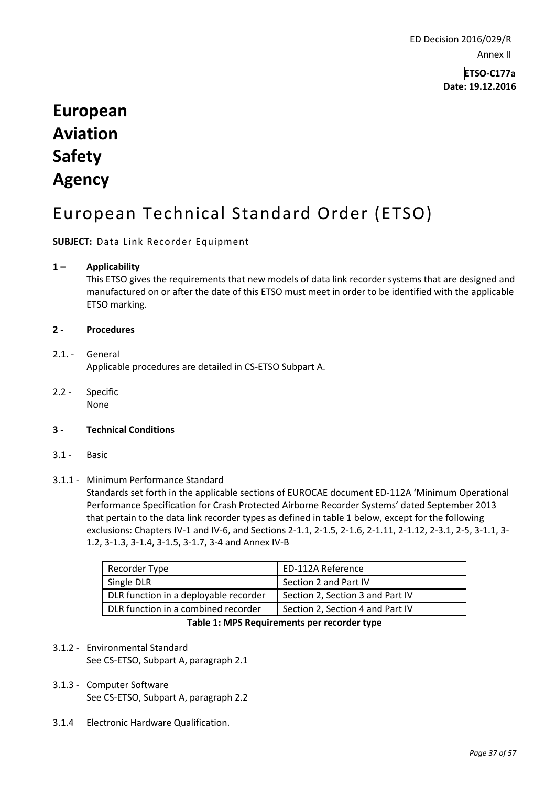ED Decision 2016/029/R Annex II

> **ETSO-C177a Date: 19.12.2016**

# **European Aviation Safety Agency**

# European Technical Standard Order (ETSO)

**SUBJECT:** Data Link Recorder Equipment

## **1 – Applicability**

This ETSO gives the requirements that new models of data link recorder systems that are designed and manufactured on or after the date of this ETSO must meet in order to be identified with the applicable ETSO marking.

## **2 - Procedures**

## 2.1 - General Applicable procedures are detailed in CS-ETSO Subpart A.

2.2 - Specific None

## **3 - Technical Conditions**

3.1 - Basic

## 3.1.1 - Minimum Performance Standard

Standards set forth in the applicable sections of EUROCAE document ED-112A 'Minimum Operational Performance Specification for Crash Protected Airborne Recorder Systems' dated September 2013 that pertain to the data link recorder types as defined in table 1 below, except for the following exclusions: Chapters IV-1 and IV-6, and Sections 2-1.1, 2-1.5, 2-1.6, 2-1.11, 2-1.12, 2-3.1, 2-5, 3-1.1, 3- 1.2, 3-1.3, 3-1.4, 3-1.5, 3-1.7, 3-4 and Annex IV-B

| Recorder Type                         | <b>ED-112A Reference</b>         |
|---------------------------------------|----------------------------------|
| Single DLR                            | Section 2 and Part IV            |
| DLR function in a deployable recorder | Section 2, Section 3 and Part IV |
| DLR function in a combined recorder   | Section 2, Section 4 and Part IV |
|                                       |                                  |

#### **Table 1: MPS Requirements per recorder type**

# 3.1.2 - Environmental Standard See CS-ETSO, Subpart A, paragraph 2.1

# 3.1.3 - Computer Software See CS-ETSO, Subpart A, paragraph 2.2

3.1.4 Electronic Hardware Qualification.